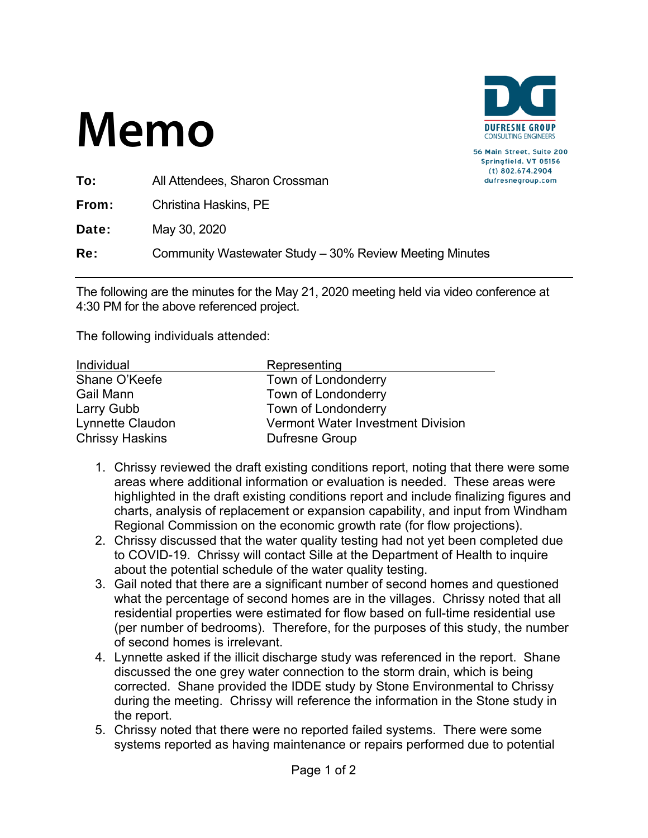

56 Main Street, Suite 200 Springfield, VT 05156 (t) 802.674.2904 dufresnegroup.com

To: All Attendees, Sharon Crossman

From: Christina Haskins, PE

**Date:** May 30, 2020

Re: Community Wastewater Study – 30% Review Meeting Minutes

The following are the minutes for the May 21, 2020 meeting held via video conference at 4:30 PM for the above referenced project.

| Individual             | Representing                             |
|------------------------|------------------------------------------|
| Shane O'Keefe          | Town of Londonderry                      |
| Gail Mann              | Town of Londonderry                      |
| Larry Gubb             | Town of Londonderry                      |
| Lynnette Claudon       | <b>Vermont Water Investment Division</b> |
| <b>Chrissy Haskins</b> | Dufresne Group                           |

- 1. Chrissy reviewed the draft existing conditions report, noting that there were some areas where additional information or evaluation is needed. These areas were highlighted in the draft existing conditions report and include finalizing figures and charts, analysis of replacement or expansion capability, and input from Windham Regional Commission on the economic growth rate (for flow projections).
- 2. Chrissy discussed that the water quality testing had not yet been completed due to COVID-19. Chrissy will contact Sille at the Department of Health to inquire about the potential schedule of the water quality testing.
- 3. Gail noted that there are a significant number of second homes and questioned what the percentage of second homes are in the villages. Chrissy noted that all residential properties were estimated for flow based on full-time residential use (per number of bedrooms). Therefore, for the purposes of this study, the number of second homes is irrelevant.
- 4. Lynnette asked if the illicit discharge study was referenced in the report. Shane discussed the one grey water connection to the storm drain, which is being corrected. Shane provided the IDDE study by Stone Environmental to Chrissy during the meeting. Chrissy will reference the information in the Stone study in the report.
- 5. Chrissy noted that there were no reported failed systems. There were some systems reported as having maintenance or repairs performed due to potential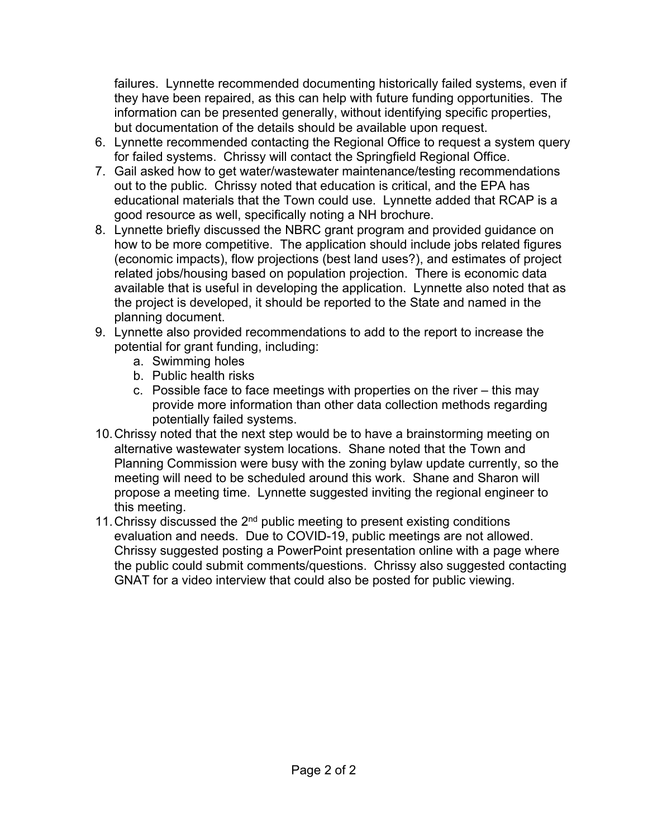failures. Lynnette recommended documenting historically failed systems, even if they have been repaired, as this can help with future funding opportunities. The information can be presented generally, without identifying specific properties, but documentation of the details should be available upon request.

- 6. Lynnette recommended contacting the Regional Office to request a system query for failed systems. Chrissy will contact the Springfield Regional Office.
- 7. Gail asked how to get water/wastewater maintenance/testing recommendations out to the public. Chrissy noted that education is critical, and the EPA has educational materials that the Town could use. Lynnette added that RCAP is a good resource as well, specifically noting a NH brochure.
- 8. Lynnette briefly discussed the NBRC grant program and provided guidance on how to be more competitive. The application should include jobs related figures (economic impacts), flow projections (best land uses?), and estimates of project related jobs/housing based on population projection. There is economic data available that is useful in developing the application. Lynnette also noted that as the project is developed, it should be reported to the State and named in the planning document.
- 9. Lynnette also provided recommendations to add to the report to increase the potential for grant funding, including:
	- a. Swimming holes
	- b. Public health risks
	- c. Possible face to face meetings with properties on the river this may provide more information than other data collection methods regarding potentially failed systems.
- 10. Chrissy noted that the next step would be to have a brainstorming meeting on alternative wastewater system locations. Shane noted that the Town and Planning Commission were busy with the zoning bylaw update currently, so the meeting will need to be scheduled around this work. Shane and Sharon will propose a meeting time. Lynnette suggested inviting the regional engineer to this meeting.
- 11. Chrissy discussed the  $2<sup>nd</sup>$  public meeting to present existing conditions evaluation and needs. Due to COVID-19, public meetings are not allowed. Chrissy suggested posting a PowerPoint presentation online with a page where the public could submit comments/questions. Chrissy also suggested contacting GNAT for a video interview that could also be posted for public viewing.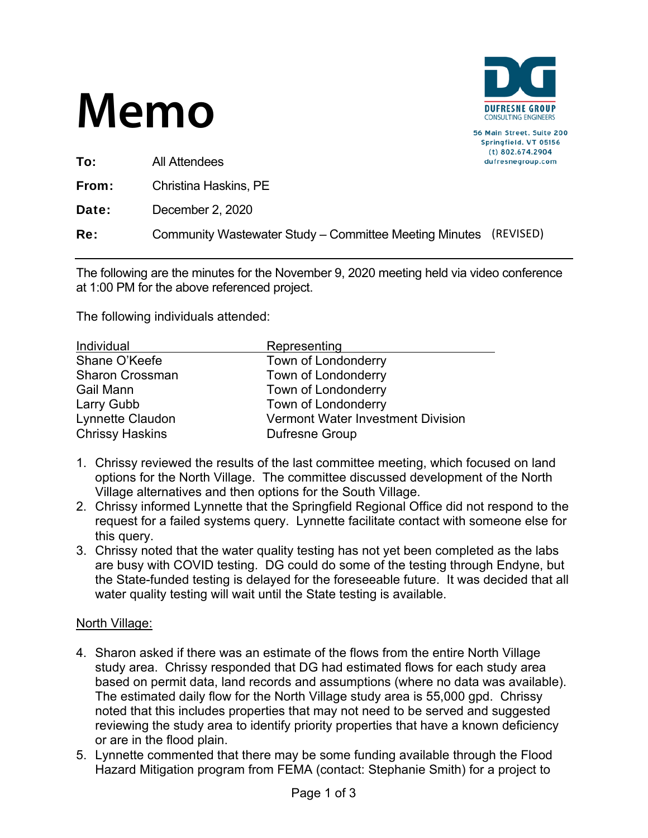

| All Attendees                                                    | $(t)$ 802.674.290<br>dufresnegroup.c |
|------------------------------------------------------------------|--------------------------------------|
| Christina Haskins, PE                                            |                                      |
| December 2, 2020                                                 |                                      |
| Community Wastewater Study – Committee Meeting Minutes (REVISED) |                                      |
|                                                                  |                                      |

The following are the minutes for the November 9, 2020 meeting held via video conference at 1:00 PM for the above referenced project.

The following individuals attended:

| Individual             | Representing                             |
|------------------------|------------------------------------------|
| Shane O'Keefe          | Town of Londonderry                      |
| <b>Sharon Crossman</b> | Town of Londonderry                      |
| Gail Mann              | Town of Londonderry                      |
| Larry Gubb             | Town of Londonderry                      |
| Lynnette Claudon       | <b>Vermont Water Investment Division</b> |
| <b>Chrissy Haskins</b> | <b>Dufresne Group</b>                    |

- 1. Chrissy reviewed the results of the last committee meeting, which focused on land options for the North Village. The committee discussed development of the North Village alternatives and then options for the South Village.
- 2. Chrissy informed Lynnette that the Springfield Regional Office did not respond to the request for a failed systems query. Lynnette facilitate contact with someone else for this query.
- 3. Chrissy noted that the water quality testing has not yet been completed as the labs are busy with COVID testing. DG could do some of the testing through Endyne, but the State-funded testing is delayed for the foreseeable future. It was decided that all water quality testing will wait until the State testing is available.

#### North Village:

- 4. Sharon asked if there was an estimate of the flows from the entire North Village study area. Chrissy responded that DG had estimated flows for each study area based on permit data, land records and assumptions (where no data was available). The estimated daily flow for the North Village study area is 55,000 gpd. Chrissy noted that this includes properties that may not need to be served and suggested reviewing the study area to identify priority properties that have a known deficiency or are in the flood plain.
- 5. Lynnette commented that there may be some funding available through the Flood Hazard Mitigation program from FEMA (contact: Stephanie Smith) for a project to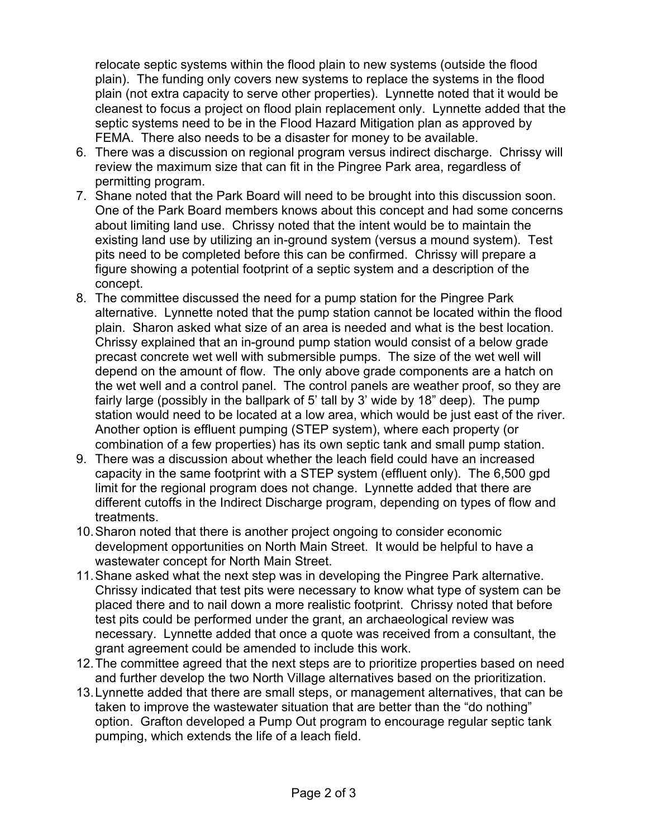relocate septic systems within the flood plain to new systems (outside the flood plain). The funding only covers new systems to replace the systems in the flood plain (not extra capacity to serve other properties). Lynnette noted that it would be cleanest to focus a project on flood plain replacement only. Lynnette added that the septic systems need to be in the Flood Hazard Mitigation plan as approved by FEMA. There also needs to be a disaster for money to be available.

- 6. There was a discussion on regional program versus indirect discharge. Chrissy will review the maximum size that can fit in the Pingree Park area, regardless of permitting program.
- 7. Shane noted that the Park Board will need to be brought into this discussion soon. One of the Park Board members knows about this concept and had some concerns about limiting land use. Chrissy noted that the intent would be to maintain the existing land use by utilizing an in-ground system (versus a mound system). Test pits need to be completed before this can be confirmed. Chrissy will prepare a figure showing a potential footprint of a septic system and a description of the concept.
- 8. The committee discussed the need for a pump station for the Pingree Park alternative. Lynnette noted that the pump station cannot be located within the flood plain. Sharon asked what size of an area is needed and what is the best location. Chrissy explained that an in-ground pump station would consist of a below grade precast concrete wet well with submersible pumps. The size of the wet well will depend on the amount of flow. The only above grade components are a hatch on the wet well and a control panel. The control panels are weather proof, so they are fairly large (possibly in the ballpark of 5' tall by 3' wide by 18" deep). The pump station would need to be located at a low area, which would be just east of the river. Another option is effluent pumping (STEP system), where each property (or combination of a few properties) has its own septic tank and small pump station.
- 9. There was a discussion about whether the leach field could have an increased capacity in the same footprint with a STEP system (effluent only). The 6,500 gpd limit for the regional program does not change. Lynnette added that there are different cutoffs in the Indirect Discharge program, depending on types of flow and treatments.
- 10. Sharon noted that there is another project ongoing to consider economic development opportunities on North Main Street. It would be helpful to have a wastewater concept for North Main Street.
- 11. Shane asked what the next step was in developing the Pingree Park alternative. Chrissy indicated that test pits were necessary to know what type of system can be placed there and to nail down a more realistic footprint. Chrissy noted that before test pits could be performed under the grant, an archaeological review was necessary. Lynnette added that once a quote was received from a consultant, the grant agreement could be amended to include this work.
- 12. The committee agreed that the next steps are to prioritize properties based on need and further develop the two North Village alternatives based on the prioritization.
- 13. Lynnette added that there are small steps, or management alternatives, that can be taken to improve the wastewater situation that are better than the "do nothing" option. Grafton developed a Pump Out program to encourage regular septic tank pumping, which extends the life of a leach field.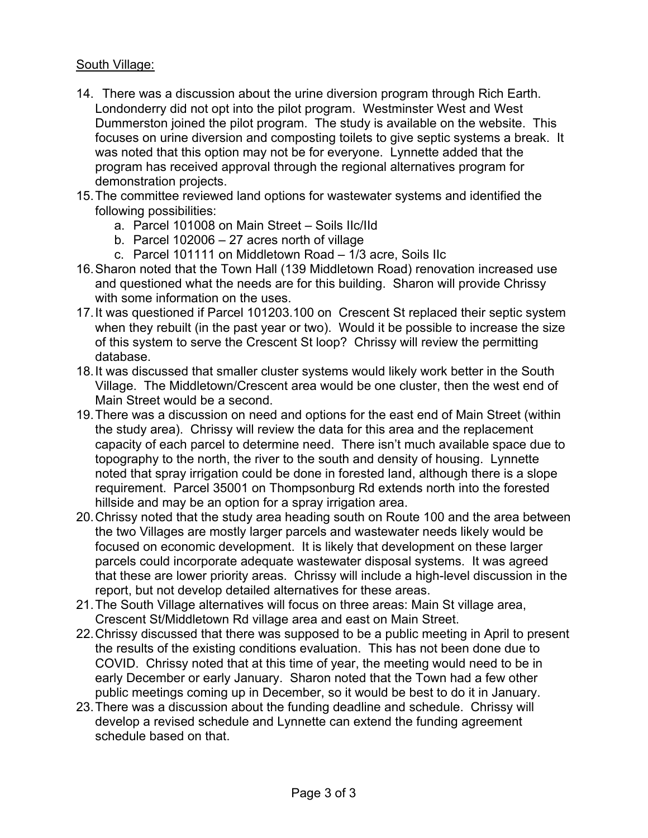#### South Village:

- 14. There was a discussion about the urine diversion program through Rich Earth. Londonderry did not opt into the pilot program. Westminster West and West Dummerston joined the pilot program. The study is available on the website. This focuses on urine diversion and composting toilets to give septic systems a break. It was noted that this option may not be for everyone. Lynnette added that the program has received approval through the regional alternatives program for demonstration projects.
- 15. The committee reviewed land options for wastewater systems and identified the following possibilities:
	- a. Parcel 101008 on Main Street Soils IIc/IId
	- b. Parcel 102006 27 acres north of village
	- c. Parcel 101111 on Middletown Road 1/3 acre, Soils IIc
- 16. Sharon noted that the Town Hall (139 Middletown Road) renovation increased use and questioned what the needs are for this building. Sharon will provide Chrissy with some information on the uses.
- 17. It was questioned if Parcel 101203.100 on Crescent St replaced their septic system when they rebuilt (in the past year or two). Would it be possible to increase the size of this system to serve the Crescent St loop? Chrissy will review the permitting database.
- 18. It was discussed that smaller cluster systems would likely work better in the South Village. The Middletown/Crescent area would be one cluster, then the west end of Main Street would be a second.
- 19. There was a discussion on need and options for the east end of Main Street (within the study area). Chrissy will review the data for this area and the replacement capacity of each parcel to determine need. There isn't much available space due to topography to the north, the river to the south and density of housing. Lynnette noted that spray irrigation could be done in forested land, although there is a slope requirement. Parcel 35001 on Thompsonburg Rd extends north into the forested hillside and may be an option for a spray irrigation area.
- 20. Chrissy noted that the study area heading south on Route 100 and the area between the two Villages are mostly larger parcels and wastewater needs likely would be focused on economic development. It is likely that development on these larger parcels could incorporate adequate wastewater disposal systems. It was agreed that these are lower priority areas. Chrissy will include a high-level discussion in the report, but not develop detailed alternatives for these areas.
- 21. The South Village alternatives will focus on three areas: Main St village area, Crescent St/Middletown Rd village area and east on Main Street.
- 22. Chrissy discussed that there was supposed to be a public meeting in April to present the results of the existing conditions evaluation. This has not been done due to COVID. Chrissy noted that at this time of year, the meeting would need to be in early December or early January. Sharon noted that the Town had a few other public meetings coming up in December, so it would be best to do it in January.
- 23. There was a discussion about the funding deadline and schedule. Chrissy will develop a revised schedule and Lynnette can extend the funding agreement schedule based on that.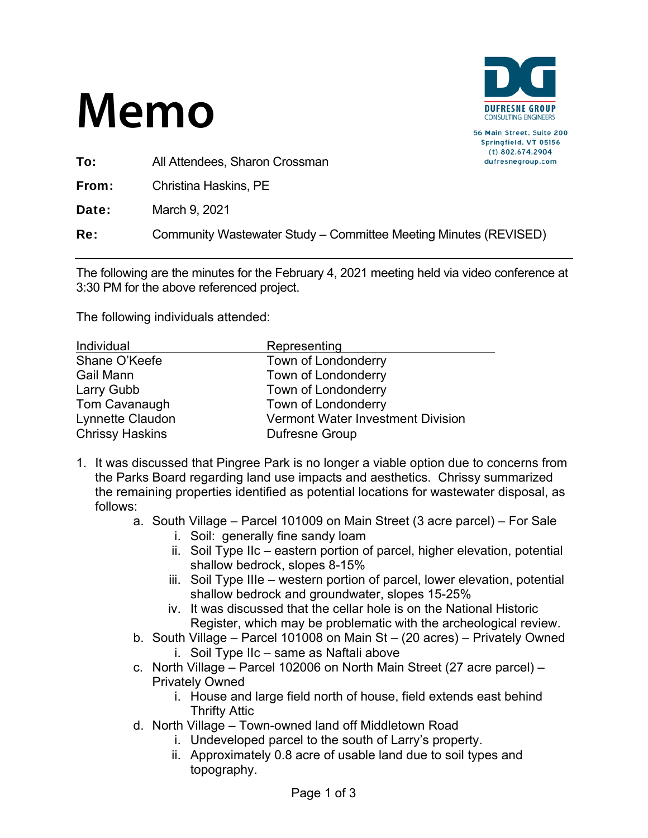

56 Main Street, Suite 200 Springfield, VT 05156  $(t)$  802.674.2904 dufresnegroup.com

To: All Attendees, Sharon Crossman

From: Christina Haskins, PE

**Date:** March 9, 2021

Re: Community Wastewater Study – Committee Meeting Minutes (REVISED)

The following are the minutes for the February 4, 2021 meeting held via video conference at 3:30 PM for the above referenced project.

| Individual             | Representing                             |
|------------------------|------------------------------------------|
| Shane O'Keefe          | Town of Londonderry                      |
| <b>Gail Mann</b>       | Town of Londonderry                      |
| Larry Gubb             | Town of Londonderry                      |
| Tom Cavanaugh          | Town of Londonderry                      |
| Lynnette Claudon       | <b>Vermont Water Investment Division</b> |
| <b>Chrissy Haskins</b> | <b>Dufresne Group</b>                    |

- 1. It was discussed that Pingree Park is no longer a viable option due to concerns from the Parks Board regarding land use impacts and aesthetics. Chrissy summarized the remaining properties identified as potential locations for wastewater disposal, as follows:
	- a. South Village Parcel 101009 on Main Street (3 acre parcel) For Sale
		- i. Soil: generally fine sandy loam
		- ii. Soil Type IIc eastern portion of parcel, higher elevation, potential shallow bedrock, slopes 8-15%
		- iii. Soil Type IIIe western portion of parcel, lower elevation, potential shallow bedrock and groundwater, slopes 15-25%
		- iv. It was discussed that the cellar hole is on the National Historic Register, which may be problematic with the archeological review.
	- b. South Village Parcel 101008 on Main St (20 acres) Privately Owned
		- i. Soil Type IIc same as Naftali above
	- c. North Village Parcel 102006 on North Main Street (27 acre parcel) Privately Owned
		- i. House and large field north of house, field extends east behind Thrifty Attic
	- d. North Village Town-owned land off Middletown Road
		- i. Undeveloped parcel to the south of Larry's property.
		- ii. Approximately 0.8 acre of usable land due to soil types and topography.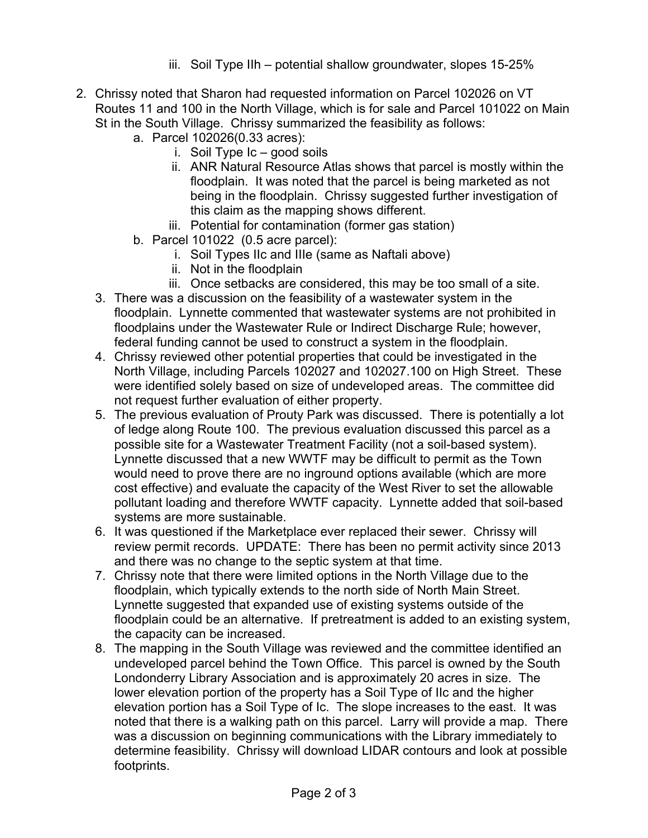- iii. Soil Type IIh potential shallow groundwater, slopes 15-25%
- 2. Chrissy noted that Sharon had requested information on Parcel 102026 on VT Routes 11 and 100 in the North Village, which is for sale and Parcel 101022 on Main St in the South Village. Chrissy summarized the feasibility as follows:
	- a. Parcel 102026(0.33 acres):
		- i. Soil Type Ic good soils
		- ii. ANR Natural Resource Atlas shows that parcel is mostly within the floodplain. It was noted that the parcel is being marketed as not being in the floodplain. Chrissy suggested further investigation of this claim as the mapping shows different.
		- iii. Potential for contamination (former gas station)
	- b. Parcel 101022 (0.5 acre parcel):
		- i. Soil Types IIc and IIIe (same as Naftali above)
		- ii. Not in the floodplain
		- iii. Once setbacks are considered, this may be too small of a site.
	- 3. There was a discussion on the feasibility of a wastewater system in the floodplain. Lynnette commented that wastewater systems are not prohibited in floodplains under the Wastewater Rule or Indirect Discharge Rule; however, federal funding cannot be used to construct a system in the floodplain.
	- 4. Chrissy reviewed other potential properties that could be investigated in the North Village, including Parcels 102027 and 102027.100 on High Street. These were identified solely based on size of undeveloped areas. The committee did not request further evaluation of either property.
	- 5. The previous evaluation of Prouty Park was discussed. There is potentially a lot of ledge along Route 100. The previous evaluation discussed this parcel as a possible site for a Wastewater Treatment Facility (not a soil-based system). Lynnette discussed that a new WWTF may be difficult to permit as the Town would need to prove there are no inground options available (which are more cost effective) and evaluate the capacity of the West River to set the allowable pollutant loading and therefore WWTF capacity. Lynnette added that soil-based systems are more sustainable.
	- 6. It was questioned if the Marketplace ever replaced their sewer. Chrissy will review permit records. UPDATE: There has been no permit activity since 2013 and there was no change to the septic system at that time.
	- 7. Chrissy note that there were limited options in the North Village due to the floodplain, which typically extends to the north side of North Main Street. Lynnette suggested that expanded use of existing systems outside of the floodplain could be an alternative. If pretreatment is added to an existing system, the capacity can be increased.
	- 8. The mapping in the South Village was reviewed and the committee identified an undeveloped parcel behind the Town Office. This parcel is owned by the South Londonderry Library Association and is approximately 20 acres in size. The lower elevation portion of the property has a Soil Type of IIc and the higher elevation portion has a Soil Type of Ic. The slope increases to the east. It was noted that there is a walking path on this parcel. Larry will provide a map. There was a discussion on beginning communications with the Library immediately to determine feasibility. Chrissy will download LIDAR contours and look at possible footprints.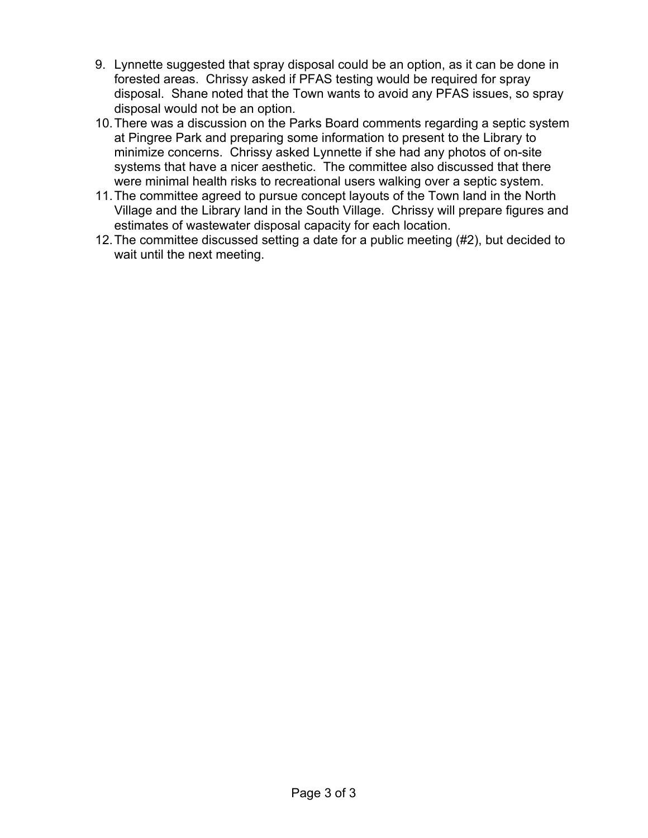- 9. Lynnette suggested that spray disposal could be an option, as it can be done in forested areas. Chrissy asked if PFAS testing would be required for spray disposal. Shane noted that the Town wants to avoid any PFAS issues, so spray disposal would not be an option.
- 10. There was a discussion on the Parks Board comments regarding a septic system at Pingree Park and preparing some information to present to the Library to minimize concerns. Chrissy asked Lynnette if she had any photos of on-site systems that have a nicer aesthetic. The committee also discussed that there were minimal health risks to recreational users walking over a septic system.
- 11. The committee agreed to pursue concept layouts of the Town land in the North Village and the Library land in the South Village. Chrissy will prepare figures and estimates of wastewater disposal capacity for each location.
- 12. The committee discussed setting a date for a public meeting (#2), but decided to wait until the next meeting.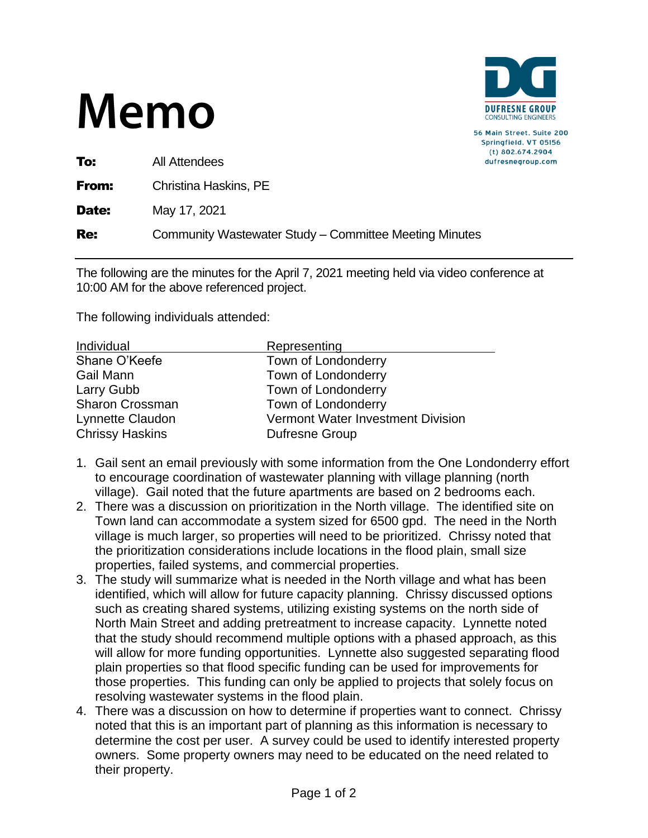

56 Main Street, Suite 200 Springfield. VT 05156  $(t)$  802.674.2904 dufresnegroup.com

To: All Attendees

**From:** Christina Haskins, PE

**Date:** May 17, 2021

Re: Community Wastewater Study – Committee Meeting Minutes

The following are the minutes for the April 7, 2021 meeting held via video conference at 10:00 AM for the above referenced project.

| Individual             | Representing                      |
|------------------------|-----------------------------------|
| Shane O'Keefe          | Town of Londonderry               |
| Gail Mann              | Town of Londonderry               |
| Larry Gubb             | Town of Londonderry               |
| Sharon Crossman        | Town of Londonderry               |
| Lynnette Claudon       | Vermont Water Investment Division |
| <b>Chrissy Haskins</b> | <b>Dufresne Group</b>             |

- 1. Gail sent an email previously with some information from the One Londonderry effort to encourage coordination of wastewater planning with village planning (north village). Gail noted that the future apartments are based on 2 bedrooms each.
- 2. There was a discussion on prioritization in the North village. The identified site on Town land can accommodate a system sized for 6500 gpd. The need in the North village is much larger, so properties will need to be prioritized. Chrissy noted that the prioritization considerations include locations in the flood plain, small size properties, failed systems, and commercial properties.
- 3. The study will summarize what is needed in the North village and what has been identified, which will allow for future capacity planning. Chrissy discussed options such as creating shared systems, utilizing existing systems on the north side of North Main Street and adding pretreatment to increase capacity. Lynnette noted that the study should recommend multiple options with a phased approach, as this will allow for more funding opportunities. Lynnette also suggested separating flood plain properties so that flood specific funding can be used for improvements for those properties. This funding can only be applied to projects that solely focus on resolving wastewater systems in the flood plain.
- 4. There was a discussion on how to determine if properties want to connect. Chrissy noted that this is an important part of planning as this information is necessary to determine the cost per user. A survey could be used to identify interested property owners. Some property owners may need to be educated on the need related to their property.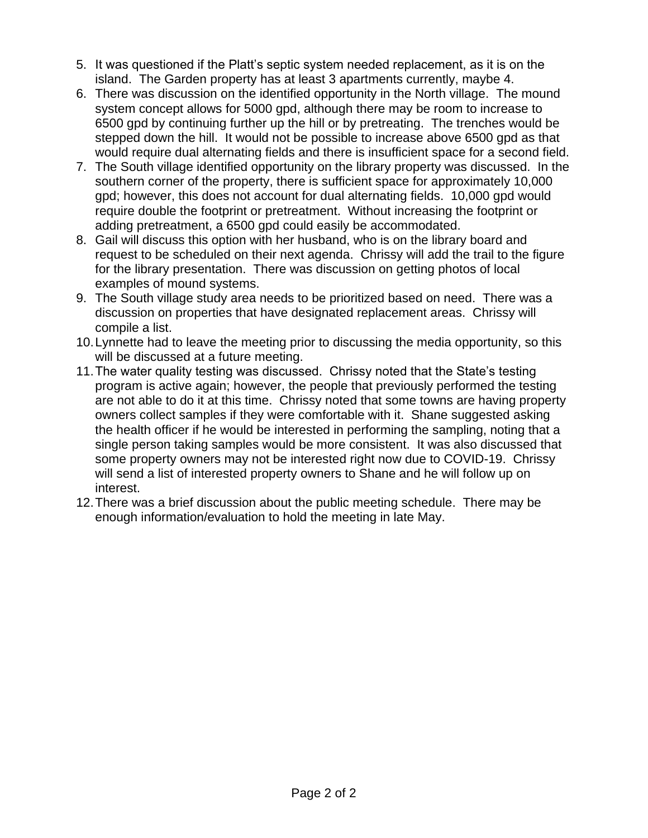- 5. It was questioned if the Platt's septic system needed replacement, as it is on the island. The Garden property has at least 3 apartments currently, maybe 4.
- 6. There was discussion on the identified opportunity in the North village. The mound system concept allows for 5000 gpd, although there may be room to increase to 6500 gpd by continuing further up the hill or by pretreating. The trenches would be stepped down the hill. It would not be possible to increase above 6500 gpd as that would require dual alternating fields and there is insufficient space for a second field.
- 7. The South village identified opportunity on the library property was discussed. In the southern corner of the property, there is sufficient space for approximately 10,000 gpd; however, this does not account for dual alternating fields. 10,000 gpd would require double the footprint or pretreatment. Without increasing the footprint or adding pretreatment, a 6500 gpd could easily be accommodated.
- 8. Gail will discuss this option with her husband, who is on the library board and request to be scheduled on their next agenda. Chrissy will add the trail to the figure for the library presentation. There was discussion on getting photos of local examples of mound systems.
- 9. The South village study area needs to be prioritized based on need. There was a discussion on properties that have designated replacement areas. Chrissy will compile a list.
- 10.Lynnette had to leave the meeting prior to discussing the media opportunity, so this will be discussed at a future meeting.
- 11.The water quality testing was discussed. Chrissy noted that the State's testing program is active again; however, the people that previously performed the testing are not able to do it at this time. Chrissy noted that some towns are having property owners collect samples if they were comfortable with it. Shane suggested asking the health officer if he would be interested in performing the sampling, noting that a single person taking samples would be more consistent. It was also discussed that some property owners may not be interested right now due to COVID-19. Chrissy will send a list of interested property owners to Shane and he will follow up on interest.
- 12.There was a brief discussion about the public meeting schedule. There may be enough information/evaluation to hold the meeting in late May.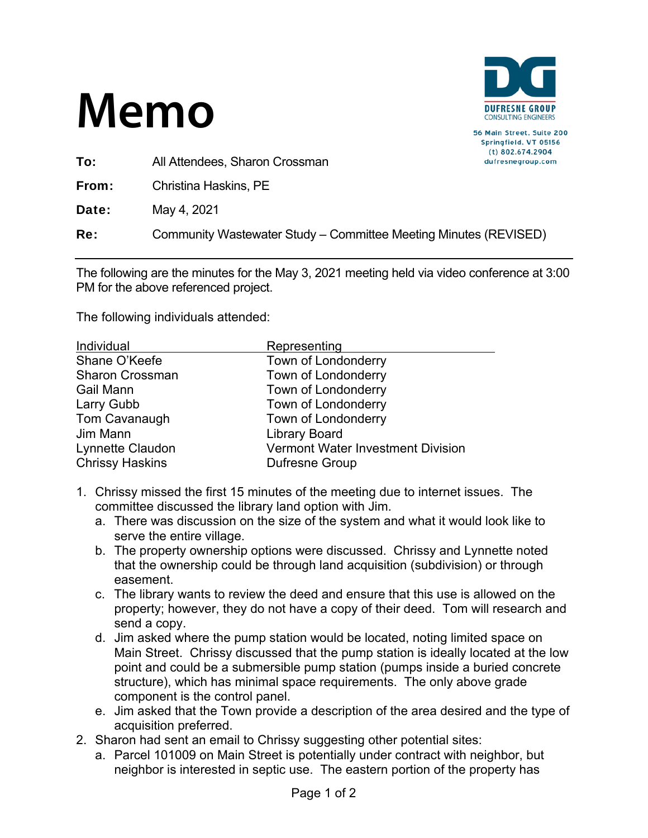

56 Main Street, Suite 200 Springfield, VT 05156  $(t)$  802.674.2904 dufresnegroup.com

To: All Attendees, Sharon Crossman

From: Christina Haskins, PE

**Date:** May 4, 2021

Re: Community Wastewater Study – Committee Meeting Minutes (REVISED)

The following are the minutes for the May 3, 2021 meeting held via video conference at 3:00 PM for the above referenced project.

| Individual             | Representing                             |
|------------------------|------------------------------------------|
| Shane O'Keefe          | Town of Londonderry                      |
| <b>Sharon Crossman</b> | Town of Londonderry                      |
| Gail Mann              | Town of Londonderry                      |
| Larry Gubb             | Town of Londonderry                      |
| Tom Cavanaugh          | Town of Londonderry                      |
| Jim Mann               | <b>Library Board</b>                     |
| Lynnette Claudon       | <b>Vermont Water Investment Division</b> |
| <b>Chrissy Haskins</b> | Dufresne Group                           |

- 1. Chrissy missed the first 15 minutes of the meeting due to internet issues. The committee discussed the library land option with Jim.
	- a. There was discussion on the size of the system and what it would look like to serve the entire village.
	- b. The property ownership options were discussed. Chrissy and Lynnette noted that the ownership could be through land acquisition (subdivision) or through easement.
	- c. The library wants to review the deed and ensure that this use is allowed on the property; however, they do not have a copy of their deed. Tom will research and send a copy.
	- d. Jim asked where the pump station would be located, noting limited space on Main Street. Chrissy discussed that the pump station is ideally located at the low point and could be a submersible pump station (pumps inside a buried concrete structure), which has minimal space requirements. The only above grade component is the control panel.
	- e. Jim asked that the Town provide a description of the area desired and the type of acquisition preferred.
- 2. Sharon had sent an email to Chrissy suggesting other potential sites:
	- a. Parcel 101009 on Main Street is potentially under contract with neighbor, but neighbor is interested in septic use. The eastern portion of the property has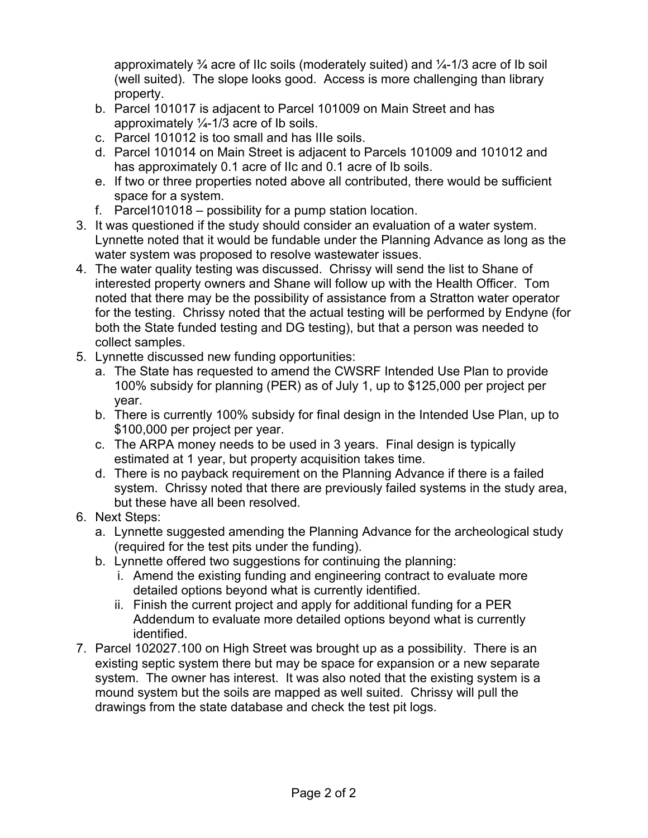approximately  $\frac{3}{4}$  acre of IIc soils (moderately suited) and  $\frac{1}{4}$ -1/3 acre of Ib soil (well suited). The slope looks good. Access is more challenging than library property.

- b. Parcel 101017 is adjacent to Parcel 101009 on Main Street and has approximately  $\frac{1}{4}$ -1/3 acre of Ib soils.
- c. Parcel 101012 is too small and has IIIe soils.
- d. Parcel 101014 on Main Street is adjacent to Parcels 101009 and 101012 and has approximately 0.1 acre of IIc and 0.1 acre of Ib soils.
- e. If two or three properties noted above all contributed, there would be sufficient space for a system.
- f. Parcel101018 possibility for a pump station location.
- 3. It was questioned if the study should consider an evaluation of a water system. Lynnette noted that it would be fundable under the Planning Advance as long as the water system was proposed to resolve wastewater issues.
- 4. The water quality testing was discussed. Chrissy will send the list to Shane of interested property owners and Shane will follow up with the Health Officer. Tom noted that there may be the possibility of assistance from a Stratton water operator for the testing. Chrissy noted that the actual testing will be performed by Endyne (for both the State funded testing and DG testing), but that a person was needed to collect samples.
- 5. Lynnette discussed new funding opportunities:
	- a. The State has requested to amend the CWSRF Intended Use Plan to provide 100% subsidy for planning (PER) as of July 1, up to \$125,000 per project per year.
	- b. There is currently 100% subsidy for final design in the Intended Use Plan, up to \$100,000 per project per year.
	- c. The ARPA money needs to be used in 3 years. Final design is typically estimated at 1 year, but property acquisition takes time.
	- d. There is no payback requirement on the Planning Advance if there is a failed system. Chrissy noted that there are previously failed systems in the study area, but these have all been resolved.
- 6. Next Steps:
	- a. Lynnette suggested amending the Planning Advance for the archeological study (required for the test pits under the funding).
	- b. Lynnette offered two suggestions for continuing the planning:
		- i. Amend the existing funding and engineering contract to evaluate more detailed options beyond what is currently identified.
		- ii. Finish the current project and apply for additional funding for a PER Addendum to evaluate more detailed options beyond what is currently identified.
- 7. Parcel 102027.100 on High Street was brought up as a possibility. There is an existing septic system there but may be space for expansion or a new separate system. The owner has interest. It was also noted that the existing system is a mound system but the soils are mapped as well suited. Chrissy will pull the drawings from the state database and check the test pit logs.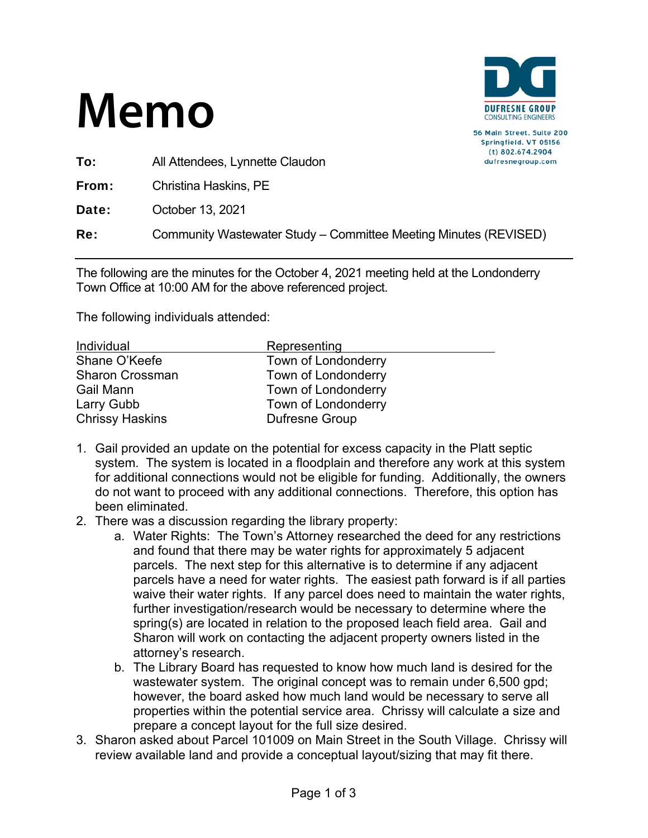

56 Main Street, Suite 200 Springfield, VT 05156  $(t)$  802.674.2904 dufresnegroup.com

To: All Attendees, Lynnette Claudon

From: Christina Haskins, PE

Date: October 13, 2021

Re: Community Wastewater Study – Committee Meeting Minutes (REVISED)

The following are the minutes for the October 4, 2021 meeting held at the Londonderry Town Office at 10:00 AM for the above referenced project.

| Individual             | Representing        |
|------------------------|---------------------|
| Shane O'Keefe          | Town of Londonderry |
| <b>Sharon Crossman</b> | Town of Londonderry |
| Gail Mann              | Town of Londonderry |
| Larry Gubb             | Town of Londonderry |
| <b>Chrissy Haskins</b> | Dufresne Group      |

- 1. Gail provided an update on the potential for excess capacity in the Platt septic system. The system is located in a floodplain and therefore any work at this system for additional connections would not be eligible for funding. Additionally, the owners do not want to proceed with any additional connections. Therefore, this option has been eliminated.
- 2. There was a discussion regarding the library property:
	- a. Water Rights: The Town's Attorney researched the deed for any restrictions and found that there may be water rights for approximately 5 adjacent parcels. The next step for this alternative is to determine if any adjacent parcels have a need for water rights. The easiest path forward is if all parties waive their water rights. If any parcel does need to maintain the water rights, further investigation/research would be necessary to determine where the spring(s) are located in relation to the proposed leach field area. Gail and Sharon will work on contacting the adjacent property owners listed in the attorney's research.
	- b. The Library Board has requested to know how much land is desired for the wastewater system. The original concept was to remain under 6,500 gpd; however, the board asked how much land would be necessary to serve all properties within the potential service area. Chrissy will calculate a size and prepare a concept layout for the full size desired.
- 3. Sharon asked about Parcel 101009 on Main Street in the South Village. Chrissy will review available land and provide a conceptual layout/sizing that may fit there.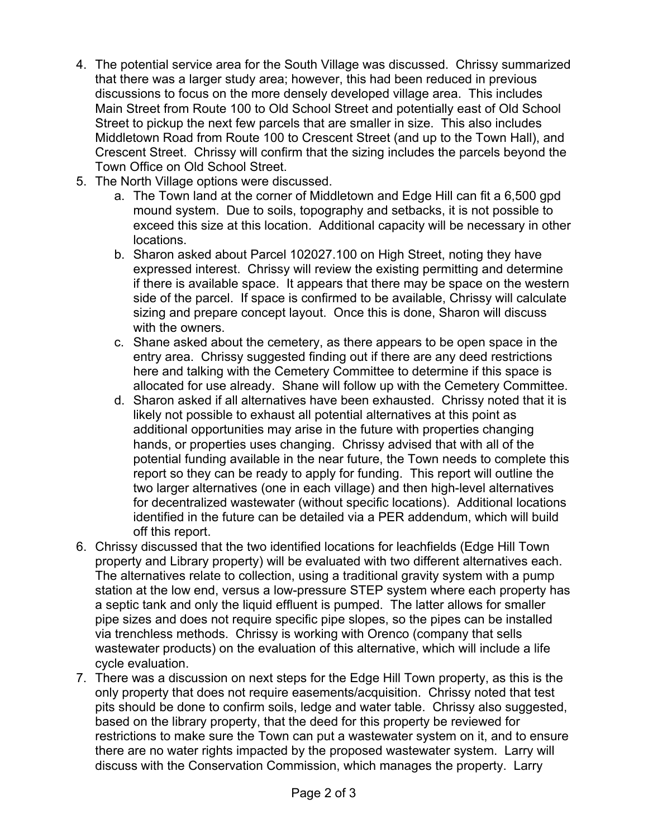- 4. The potential service area for the South Village was discussed. Chrissy summarized that there was a larger study area; however, this had been reduced in previous discussions to focus on the more densely developed village area. This includes Main Street from Route 100 to Old School Street and potentially east of Old School Street to pickup the next few parcels that are smaller in size. This also includes Middletown Road from Route 100 to Crescent Street (and up to the Town Hall), and Crescent Street. Chrissy will confirm that the sizing includes the parcels beyond the Town Office on Old School Street.
- 5. The North Village options were discussed.
	- a. The Town land at the corner of Middletown and Edge Hill can fit a 6,500 gpd mound system. Due to soils, topography and setbacks, it is not possible to exceed this size at this location. Additional capacity will be necessary in other locations.
	- b. Sharon asked about Parcel 102027.100 on High Street, noting they have expressed interest. Chrissy will review the existing permitting and determine if there is available space. It appears that there may be space on the western side of the parcel. If space is confirmed to be available, Chrissy will calculate sizing and prepare concept layout. Once this is done, Sharon will discuss with the owners.
	- c. Shane asked about the cemetery, as there appears to be open space in the entry area. Chrissy suggested finding out if there are any deed restrictions here and talking with the Cemetery Committee to determine if this space is allocated for use already. Shane will follow up with the Cemetery Committee.
	- d. Sharon asked if all alternatives have been exhausted. Chrissy noted that it is likely not possible to exhaust all potential alternatives at this point as additional opportunities may arise in the future with properties changing hands, or properties uses changing. Chrissy advised that with all of the potential funding available in the near future, the Town needs to complete this report so they can be ready to apply for funding. This report will outline the two larger alternatives (one in each village) and then high-level alternatives for decentralized wastewater (without specific locations). Additional locations identified in the future can be detailed via a PER addendum, which will build off this report.
- 6. Chrissy discussed that the two identified locations for leachfields (Edge Hill Town property and Library property) will be evaluated with two different alternatives each. The alternatives relate to collection, using a traditional gravity system with a pump station at the low end, versus a low-pressure STEP system where each property has a septic tank and only the liquid effluent is pumped. The latter allows for smaller pipe sizes and does not require specific pipe slopes, so the pipes can be installed via trenchless methods. Chrissy is working with Orenco (company that sells wastewater products) on the evaluation of this alternative, which will include a life cycle evaluation.
- 7. There was a discussion on next steps for the Edge Hill Town property, as this is the only property that does not require easements/acquisition. Chrissy noted that test pits should be done to confirm soils, ledge and water table. Chrissy also suggested, based on the library property, that the deed for this property be reviewed for restrictions to make sure the Town can put a wastewater system on it, and to ensure there are no water rights impacted by the proposed wastewater system. Larry will discuss with the Conservation Commission, which manages the property. Larry